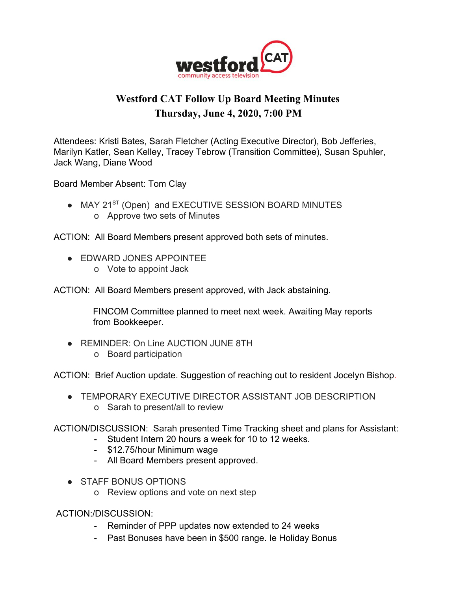

## **Westford CAT Follow Up Board Meeting Minutes Thursday, June 4, 2020, 7:00 PM**

Attendees: Kristi Bates, Sarah Fletcher (Acting Executive Director), Bob Jefferies, Marilyn Katler, Sean Kelley, Tracey Tebrow (Transition Committee), Susan Spuhler, Jack Wang, Diane Wood

Board Member Absent: Tom Clay

• MAY 21<sup>ST</sup> (Open) and EXECUTIVE SESSION BOARD MINUTES o Approve two sets of Minutes

ACTION: All Board Members present approved both sets of minutes.

- **EDWARD JONES APPOINTEE** 
	- o Vote to appoint Jack

ACTION: All Board Members present approved, with Jack abstaining.

 FINCOM Committee planned to meet next week. Awaiting May reports from Bookkeeper.

- REMINDER: On Line AUCTION JUNE 8TH
	- o Board participation

ACTION: Brief Auction update. Suggestion of reaching out to resident Jocelyn Bishop.

● TEMPORARY EXECUTIVE DIRECTOR ASSISTANT JOB DESCRIPTION o Sarah to present/all to review

ACTION/DISCUSSION: Sarah presented Time Tracking sheet and plans for Assistant:

- Student Intern 20 hours a week for 10 to 12 weeks.
- \$12.75/hour Minimum wage
- All Board Members present approved.
- STAFF BONUS OPTIONS
	- o Review options and vote on next step

ACTION:/DISCUSSION:

- Reminder of PPP updates now extended to 24 weeks
- Past Bonuses have been in \$500 range. Ie Holiday Bonus